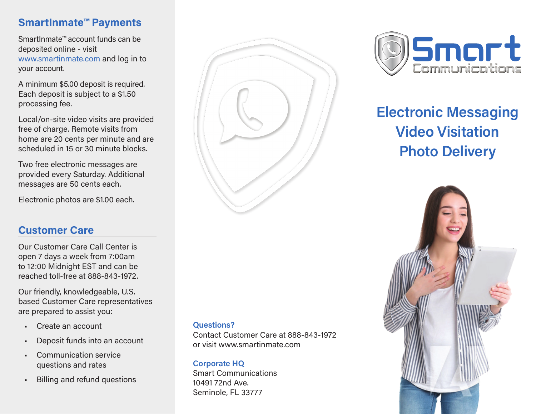## **SmartInmate™ Payments**

SmartInmate™ account funds can be deposited online - visit www.smartinmate.com and log in to your account.

A minimum \$5.00 deposit is required. Each deposit is subject to a \$1.50 processing fee.

Local/on-site video visits are provided free of charge. Remote visits from home are 20 cents per minute and are scheduled in 15 or 30 minute blocks.

Two free electronic messages are provided every Saturday. Additional messages are 50 cents each.

Electronic photos are \$1.00 each.

#### **Customer Care**

Our Customer Care Call Center is open 7 days a week from 7:00am to 12:00 Midnight EST and can be reached toll‐free at 888‐843‐1972.

Our friendly, knowledgeable, U.S. based Customer Care representatives are prepared to assist you:

- Create an account
- Deposit funds into an account
- Communication service questions and rates
- Billing and refund questions



#### **Questions?**

Contact Customer Care at 888‐843‐1972 or visit www.smartinmate.com

#### **Corporate HQ**

Smart Communications 10491 72nd Ave. Seminole, FL 33777



# **Electronic Messaging Video Visitation Photo Delivery**